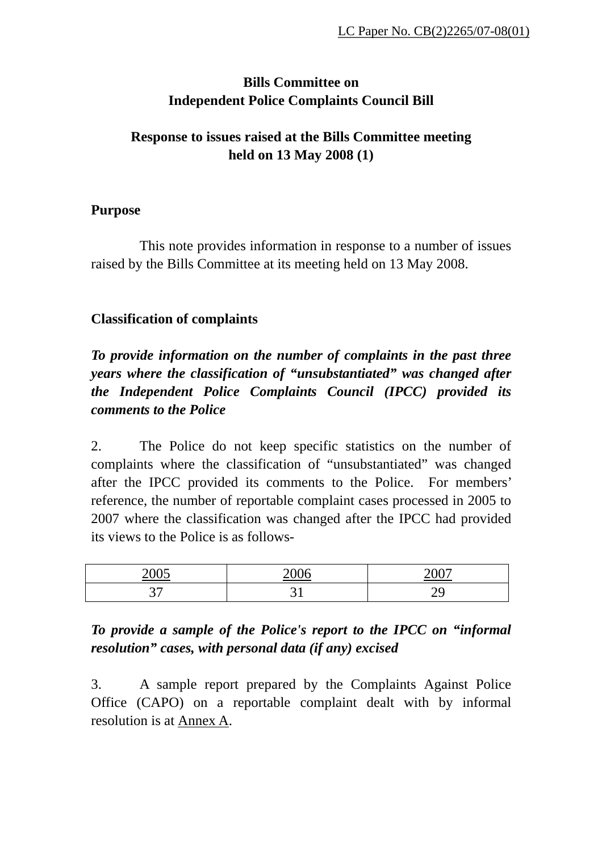# **Bills Committee on Independent Police Complaints Council Bill**

# **Response to issues raised at the Bills Committee meeting held on 13 May 2008 (1)**

## **Purpose**

 This note provides information in response to a number of issues raised by the Bills Committee at its meeting held on 13 May 2008.

## **Classification of complaints**

*To provide information on the number of complaints in the past three years where the classification of "unsubstantiated" was changed after the Independent Police Complaints Council (IPCC) provided its comments to the Police* 

2. The Police do not keep specific statistics on the number of complaints where the classification of "unsubstantiated" was changed after the IPCC provided its comments to the Police. For members' reference, the number of reportable complaint cases processed in 2005 to 2007 where the classification was changed after the IPCC had provided its views to the Police is as follows-

| $\bigcap_{n\in\mathbb{N}}$<br>$\frac{\Delta U U}{\Delta U}$ | $\Delta \Omega$<br>$\sim$ $\sim$ $\sim$ $\sim$ | 2007 |
|-------------------------------------------------------------|------------------------------------------------|------|
| -<br>ັ                                                      | ັ                                              |      |

*To provide a sample of the Police's report to the IPCC on "informal resolution" cases, with personal data (if any) excised* 

3. A sample report prepared by the Complaints Against Police Office (CAPO) on a reportable complaint dealt with by informal resolution is at Annex A.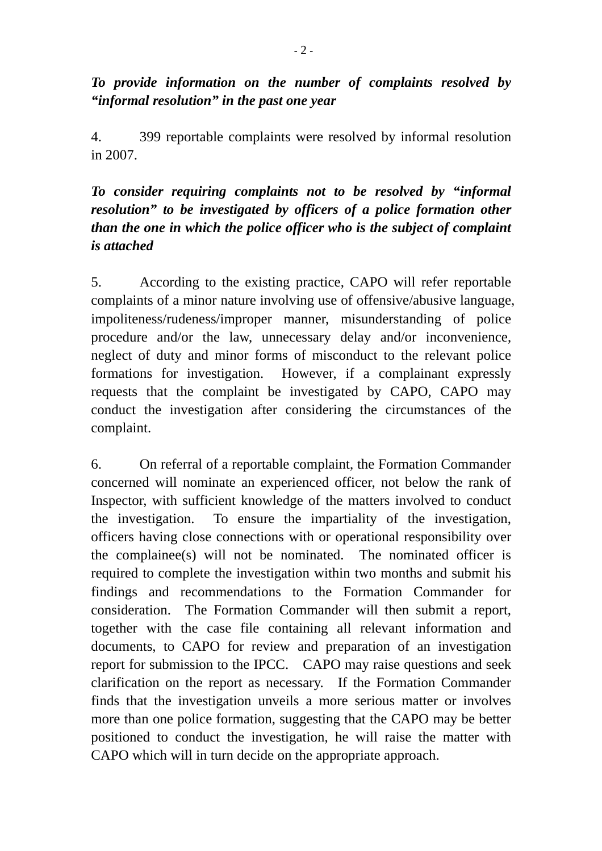*To provide information on the number of complaints resolved by "informal resolution" in the past one year* 

4. 399 reportable complaints were resolved by informal resolution in 2007.

*To consider requiring complaints not to be resolved by "informal resolution" to be investigated by officers of a police formation other than the one in which the police officer who is the subject of complaint is attached* 

5. According to the existing practice, CAPO will refer reportable complaints of a minor nature involving use of offensive/abusive language, impoliteness/rudeness/improper manner, misunderstanding of police procedure and/or the law, unnecessary delay and/or inconvenience, neglect of duty and minor forms of misconduct to the relevant police formations for investigation. However, if a complainant expressly requests that the complaint be investigated by CAPO, CAPO may conduct the investigation after considering the circumstances of the complaint.

6. On referral of a reportable complaint, the Formation Commander concerned will nominate an experienced officer, not below the rank of Inspector, with sufficient knowledge of the matters involved to conduct the investigation. To ensure the impartiality of the investigation, officers having close connections with or operational responsibility over the complainee(s) will not be nominated. The nominated officer is required to complete the investigation within two months and submit his findings and recommendations to the Formation Commander for consideration. The Formation Commander will then submit a report, together with the case file containing all relevant information and documents, to CAPO for review and preparation of an investigation report for submission to the IPCC. CAPO may raise questions and seek clarification on the report as necessary. If the Formation Commander finds that the investigation unveils a more serious matter or involves more than one police formation, suggesting that the CAPO may be better positioned to conduct the investigation, he will raise the matter with CAPO which will in turn decide on the appropriate approach.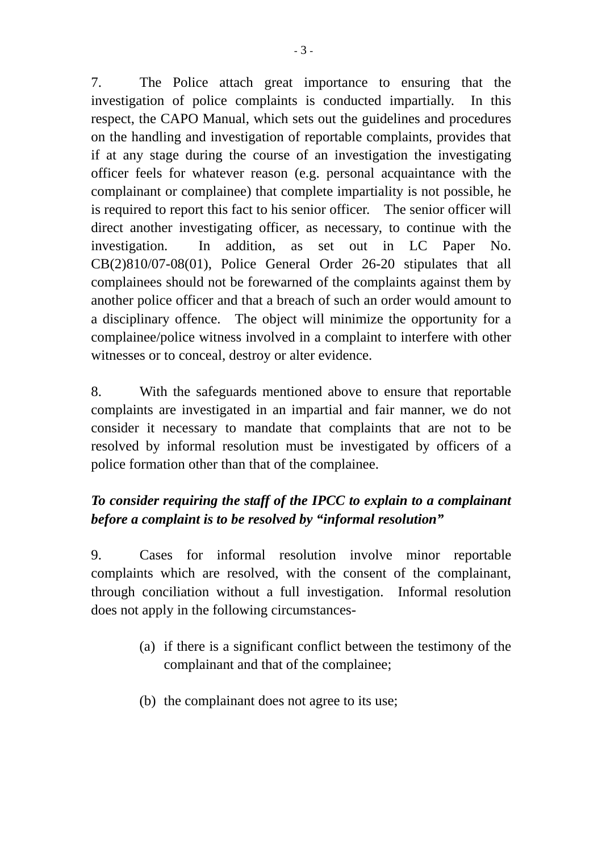7. The Police attach great importance to ensuring that the investigation of police complaints is conducted impartially. In this respect, the CAPO Manual, which sets out the guidelines and procedures on the handling and investigation of reportable complaints, provides that if at any stage during the course of an investigation the investigating officer feels for whatever reason (e.g. personal acquaintance with the complainant or complainee) that complete impartiality is not possible, he is required to report this fact to his senior officer. The senior officer will direct another investigating officer, as necessary, to continue with the investigation. In addition, as set out in LC Paper No. CB(2)810/07-08(01), Police General Order 26-20 stipulates that all complainees should not be forewarned of the complaints against them by another police officer and that a breach of such an order would amount to a disciplinary offence. The object will minimize the opportunity for a complainee/police witness involved in a complaint to interfere with other witnesses or to conceal, destroy or alter evidence.

8. With the safeguards mentioned above to ensure that reportable complaints are investigated in an impartial and fair manner, we do not consider it necessary to mandate that complaints that are not to be resolved by informal resolution must be investigated by officers of a police formation other than that of the complainee.

# *To consider requiring the staff of the IPCC to explain to a complainant before a complaint is to be resolved by "informal resolution"*

9. Cases for informal resolution involve minor reportable complaints which are resolved, with the consent of the complainant, through conciliation without a full investigation. Informal resolution does not apply in the following circumstances-

- (a) if there is a significant conflict between the testimony of the complainant and that of the complainee;
- (b) the complainant does not agree to its use;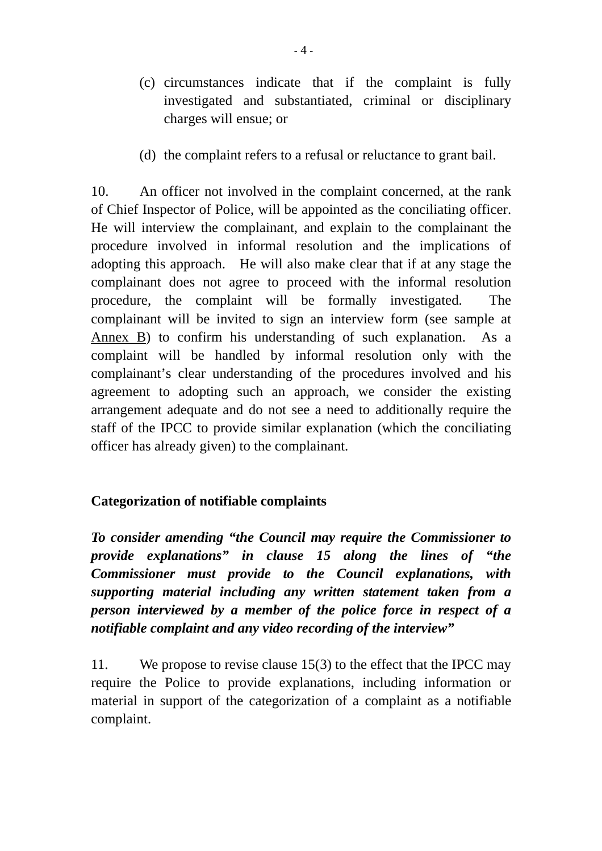- (c) circumstances indicate that if the complaint is fully investigated and substantiated, criminal or disciplinary charges will ensue; or
- (d) the complaint refers to a refusal or reluctance to grant bail.

10. An officer not involved in the complaint concerned, at the rank of Chief Inspector of Police, will be appointed as the conciliating officer. He will interview the complainant, and explain to the complainant the procedure involved in informal resolution and the implications of adopting this approach. He will also make clear that if at any stage the complainant does not agree to proceed with the informal resolution procedure, the complaint will be formally investigated. The complainant will be invited to sign an interview form (see sample at Annex B) to confirm his understanding of such explanation. As a complaint will be handled by informal resolution only with the complainant's clear understanding of the procedures involved and his agreement to adopting such an approach, we consider the existing arrangement adequate and do not see a need to additionally require the staff of the IPCC to provide similar explanation (which the conciliating officer has already given) to the complainant.

## **Categorization of notifiable complaints**

*To consider amending "the Council may require the Commissioner to provide explanations" in clause 15 along the lines of "the Commissioner must provide to the Council explanations, with supporting material including any written statement taken from a person interviewed by a member of the police force in respect of a notifiable complaint and any video recording of the interview"* 

11. We propose to revise clause 15(3) to the effect that the IPCC may require the Police to provide explanations, including information or material in support of the categorization of a complaint as a notifiable complaint.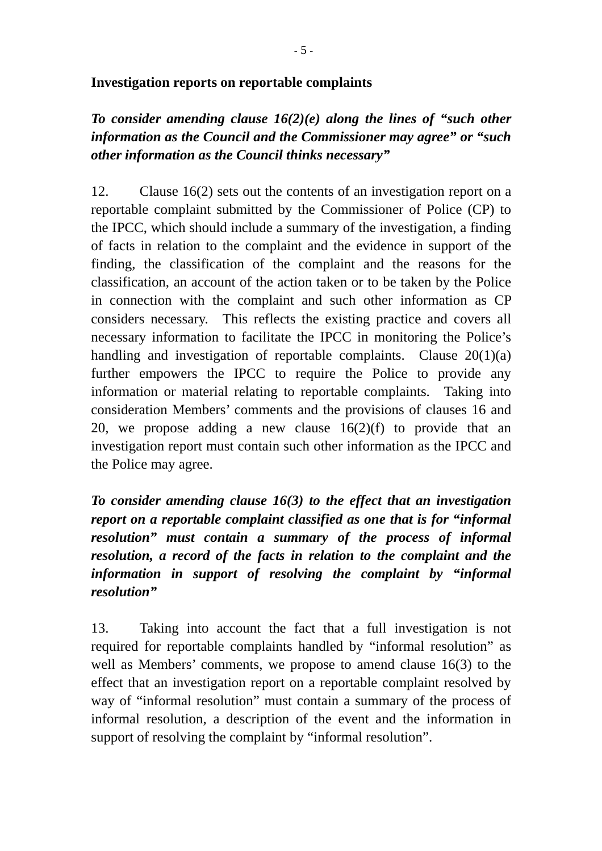## **Investigation reports on reportable complaints**

*To consider amending clause 16(2)(e) along the lines of "such other information as the Council and the Commissioner may agree" or "such other information as the Council thinks necessary"* 

12. Clause 16(2) sets out the contents of an investigation report on a reportable complaint submitted by the Commissioner of Police (CP) to the IPCC, which should include a summary of the investigation, a finding of facts in relation to the complaint and the evidence in support of the finding, the classification of the complaint and the reasons for the classification, an account of the action taken or to be taken by the Police in connection with the complaint and such other information as CP considers necessary. This reflects the existing practice and covers all necessary information to facilitate the IPCC in monitoring the Police's handling and investigation of reportable complaints. Clause 20(1)(a) further empowers the IPCC to require the Police to provide any information or material relating to reportable complaints. Taking into consideration Members' comments and the provisions of clauses 16 and 20, we propose adding a new clause  $16(2)(f)$  to provide that an investigation report must contain such other information as the IPCC and the Police may agree.

*To consider amending clause 16(3) to the effect that an investigation report on a reportable complaint classified as one that is for "informal resolution" must contain a summary of the process of informal resolution, a record of the facts in relation to the complaint and the information in support of resolving the complaint by "informal resolution"* 

13. Taking into account the fact that a full investigation is not required for reportable complaints handled by "informal resolution" as well as Members' comments, we propose to amend clause 16(3) to the effect that an investigation report on a reportable complaint resolved by way of "informal resolution" must contain a summary of the process of informal resolution, a description of the event and the information in support of resolving the complaint by "informal resolution".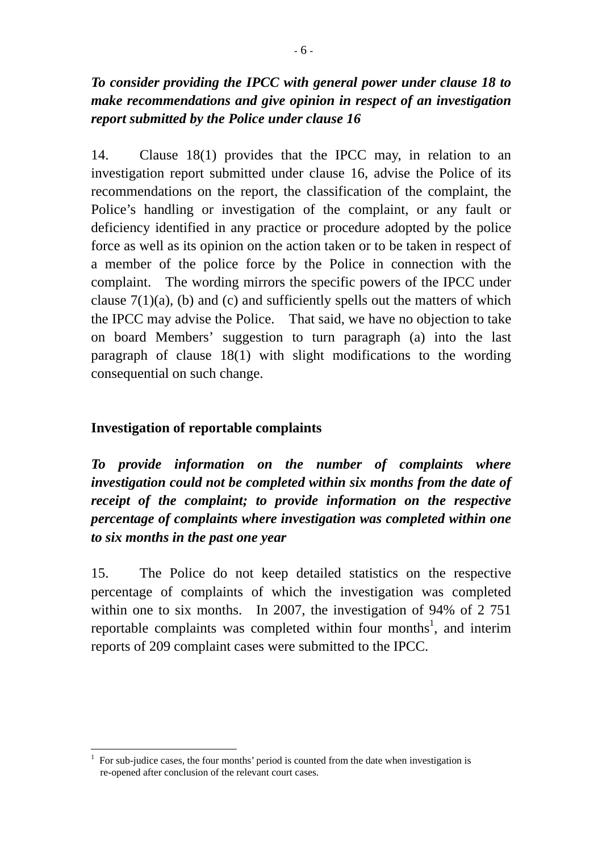# *To consider providing the IPCC with general power under clause 18 to make recommendations and give opinion in respect of an investigation report submitted by the Police under clause 16*

14. Clause 18(1) provides that the IPCC may, in relation to an investigation report submitted under clause 16, advise the Police of its recommendations on the report, the classification of the complaint, the Police's handling or investigation of the complaint, or any fault or deficiency identified in any practice or procedure adopted by the police force as well as its opinion on the action taken or to be taken in respect of a member of the police force by the Police in connection with the complaint. The wording mirrors the specific powers of the IPCC under clause  $7(1)(a)$ , (b) and (c) and sufficiently spells out the matters of which the IPCC may advise the Police. That said, we have no objection to take on board Members' suggestion to turn paragraph (a) into the last paragraph of clause 18(1) with slight modifications to the wording consequential on such change.

## **Investigation of reportable complaints**

*To provide information on the number of complaints where investigation could not be completed within six months from the date of receipt of the complaint; to provide information on the respective percentage of complaints where investigation was completed within one to six months in the past one year* 

15. The Police do not keep detailed statistics on the respective percentage of complaints of which the investigation was completed within one to six months. In 2007, the investigation of 94% of 2 751 reportable complaints was completed within four months<sup>1</sup>, and interim reports of 209 complaint cases were submitted to the IPCC.

 $\overline{a}$ 1 For sub-judice cases, the four months' period is counted from the date when investigation is re-opened after conclusion of the relevant court cases.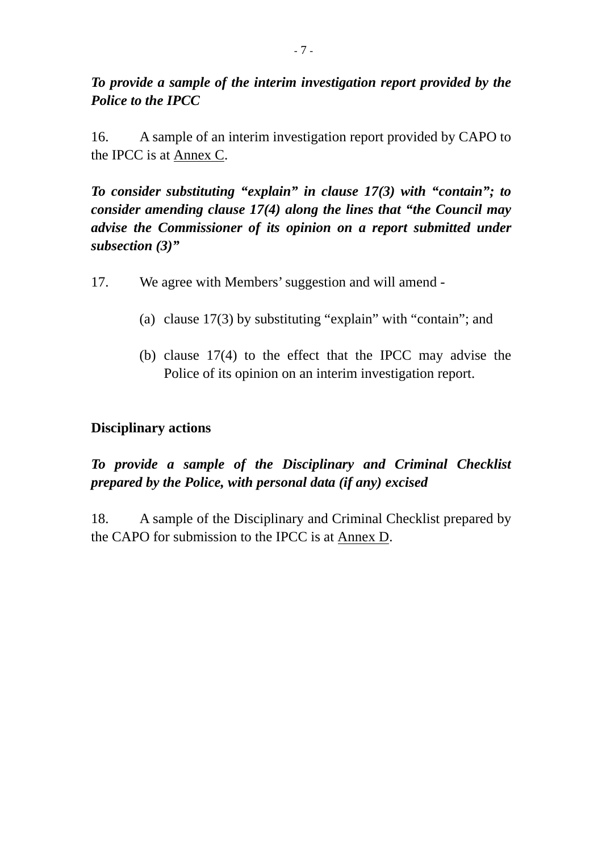# *To provide a sample of the interim investigation report provided by the Police to the IPCC*

16. A sample of an interim investigation report provided by CAPO to the IPCC is at Annex C.

*To consider substituting "explain" in clause 17(3) with "contain"; to consider amending clause 17(4) along the lines that "the Council may advise the Commissioner of its opinion on a report submitted under subsection (3)"* 

- 17. We agree with Members' suggestion and will amend
	- (a) clause 17(3) by substituting "explain" with "contain"; and
	- (b) clause 17(4) to the effect that the IPCC may advise the Police of its opinion on an interim investigation report.

## **Disciplinary actions**

# *To provide a sample of the Disciplinary and Criminal Checklist prepared by the Police, with personal data (if any) excised*

18. A sample of the Disciplinary and Criminal Checklist prepared by the CAPO for submission to the IPCC is at Annex D.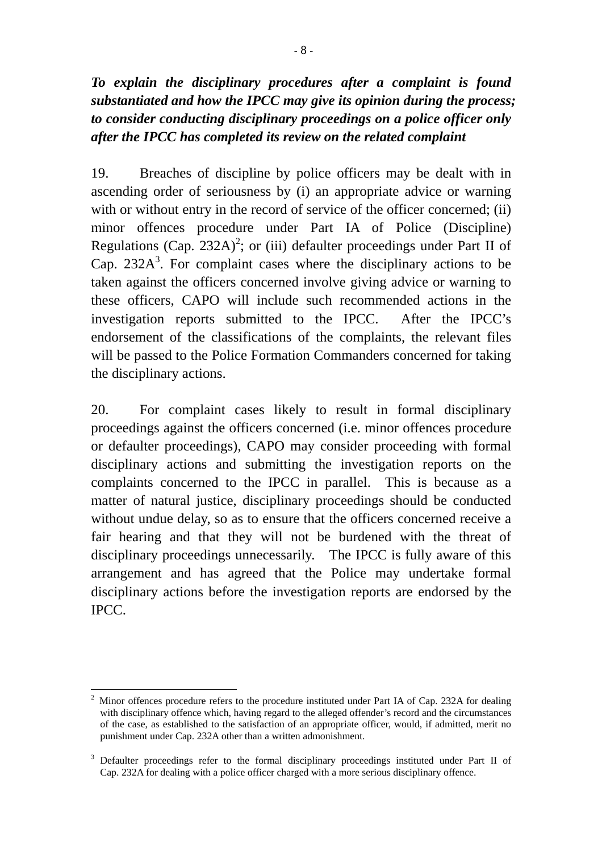# *To explain the disciplinary procedures after a complaint is found substantiated and how the IPCC may give its opinion during the process; to consider conducting disciplinary proceedings on a police officer only after the IPCC has completed its review on the related complaint*

19. Breaches of discipline by police officers may be dealt with in ascending order of seriousness by (i) an appropriate advice or warning with or without entry in the record of service of the officer concerned; (ii) minor offences procedure under Part IA of Police (Discipline) Regulations (Cap. 232A)<sup>2</sup>; or (iii) defaulter proceedings under Part II of Cap.  $232A<sup>3</sup>$ . For complaint cases where the disciplinary actions to be taken against the officers concerned involve giving advice or warning to these officers, CAPO will include such recommended actions in the investigation reports submitted to the IPCC. After the IPCC's endorsement of the classifications of the complaints, the relevant files will be passed to the Police Formation Commanders concerned for taking the disciplinary actions.

20. For complaint cases likely to result in formal disciplinary proceedings against the officers concerned (i.e. minor offences procedure or defaulter proceedings), CAPO may consider proceeding with formal disciplinary actions and submitting the investigation reports on the complaints concerned to the IPCC in parallel. This is because as a matter of natural justice, disciplinary proceedings should be conducted without undue delay, so as to ensure that the officers concerned receive a fair hearing and that they will not be burdened with the threat of disciplinary proceedings unnecessarily. The IPCC is fully aware of this arrangement and has agreed that the Police may undertake formal disciplinary actions before the investigation reports are endorsed by the IPCC.

 $\overline{a}$ <sup>2</sup> Minor offences procedure refers to the procedure instituted under Part IA of Cap. 232A for dealing with disciplinary offence which, having regard to the alleged offender's record and the circumstances of the case, as established to the satisfaction of an appropriate officer, would, if admitted, merit no punishment under Cap. 232A other than a written admonishment.

<sup>&</sup>lt;sup>3</sup> Defaulter proceedings refer to the formal disciplinary proceedings instituted under Part II of Cap. 232A for dealing with a police officer charged with a more serious disciplinary offence.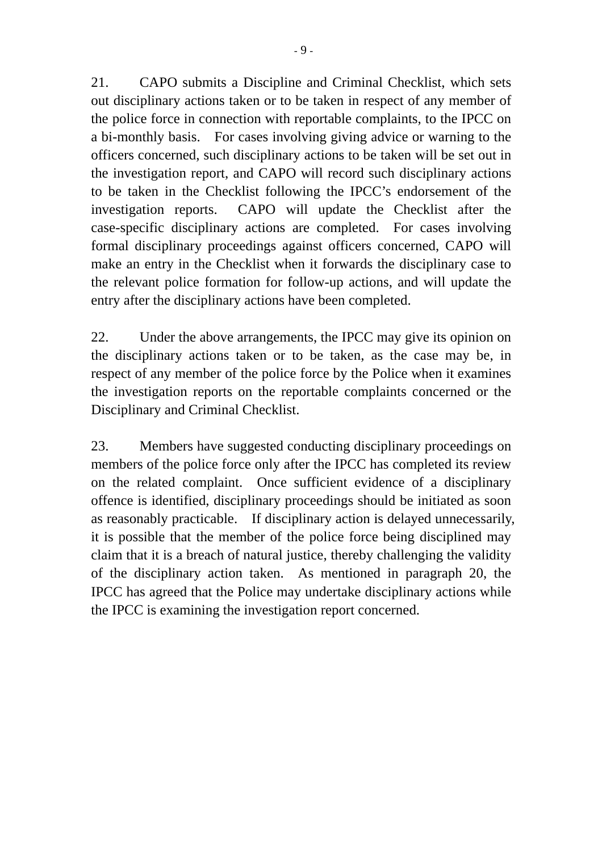21. CAPO submits a Discipline and Criminal Checklist, which sets out disciplinary actions taken or to be taken in respect of any member of the police force in connection with reportable complaints, to the IPCC on a bi-monthly basis. For cases involving giving advice or warning to the officers concerned, such disciplinary actions to be taken will be set out in the investigation report, and CAPO will record such disciplinary actions to be taken in the Checklist following the IPCC's endorsement of the investigation reports. CAPO will update the Checklist after the case-specific disciplinary actions are completed. For cases involving formal disciplinary proceedings against officers concerned, CAPO will make an entry in the Checklist when it forwards the disciplinary case to the relevant police formation for follow-up actions, and will update the entry after the disciplinary actions have been completed.

22. Under the above arrangements, the IPCC may give its opinion on the disciplinary actions taken or to be taken, as the case may be, in respect of any member of the police force by the Police when it examines the investigation reports on the reportable complaints concerned or the Disciplinary and Criminal Checklist.

23. Members have suggested conducting disciplinary proceedings on members of the police force only after the IPCC has completed its review on the related complaint. Once sufficient evidence of a disciplinary offence is identified, disciplinary proceedings should be initiated as soon as reasonably practicable. If disciplinary action is delayed unnecessarily, it is possible that the member of the police force being disciplined may claim that it is a breach of natural justice, thereby challenging the validity of the disciplinary action taken. As mentioned in paragraph 20, the IPCC has agreed that the Police may undertake disciplinary actions while the IPCC is examining the investigation report concerned.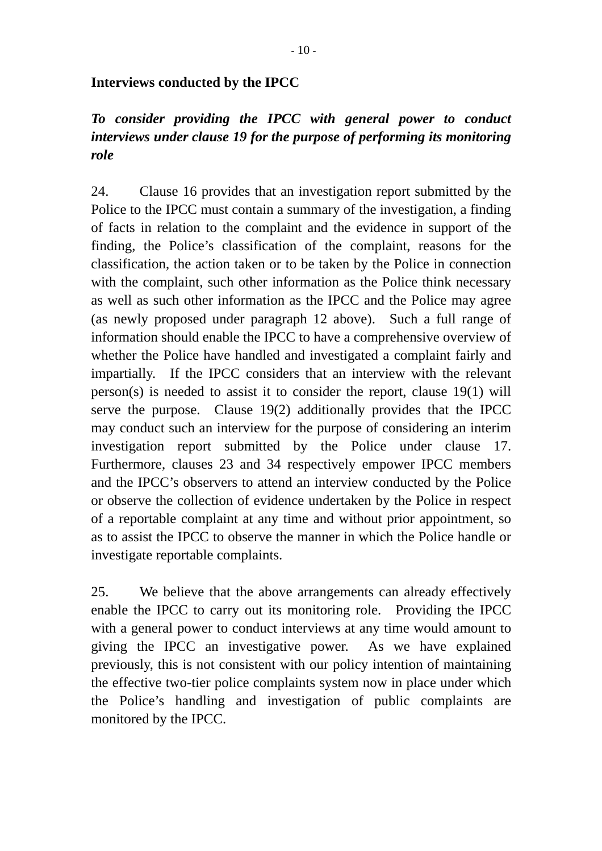### **Interviews conducted by the IPCC**

# *To consider providing the IPCC with general power to conduct interviews under clause 19 for the purpose of performing its monitoring role*

24. Clause 16 provides that an investigation report submitted by the Police to the IPCC must contain a summary of the investigation, a finding of facts in relation to the complaint and the evidence in support of the finding, the Police's classification of the complaint, reasons for the classification, the action taken or to be taken by the Police in connection with the complaint, such other information as the Police think necessary as well as such other information as the IPCC and the Police may agree (as newly proposed under paragraph 12 above). Such a full range of information should enable the IPCC to have a comprehensive overview of whether the Police have handled and investigated a complaint fairly and impartially. If the IPCC considers that an interview with the relevant person(s) is needed to assist it to consider the report, clause 19(1) will serve the purpose. Clause 19(2) additionally provides that the IPCC may conduct such an interview for the purpose of considering an interim investigation report submitted by the Police under clause 17. Furthermore, clauses 23 and 34 respectively empower IPCC members and the IPCC's observers to attend an interview conducted by the Police or observe the collection of evidence undertaken by the Police in respect of a reportable complaint at any time and without prior appointment, so as to assist the IPCC to observe the manner in which the Police handle or investigate reportable complaints.

25. We believe that the above arrangements can already effectively enable the IPCC to carry out its monitoring role. Providing the IPCC with a general power to conduct interviews at any time would amount to giving the IPCC an investigative power. As we have explained previously, this is not consistent with our policy intention of maintaining the effective two-tier police complaints system now in place under which the Police's handling and investigation of public complaints are monitored by the IPCC.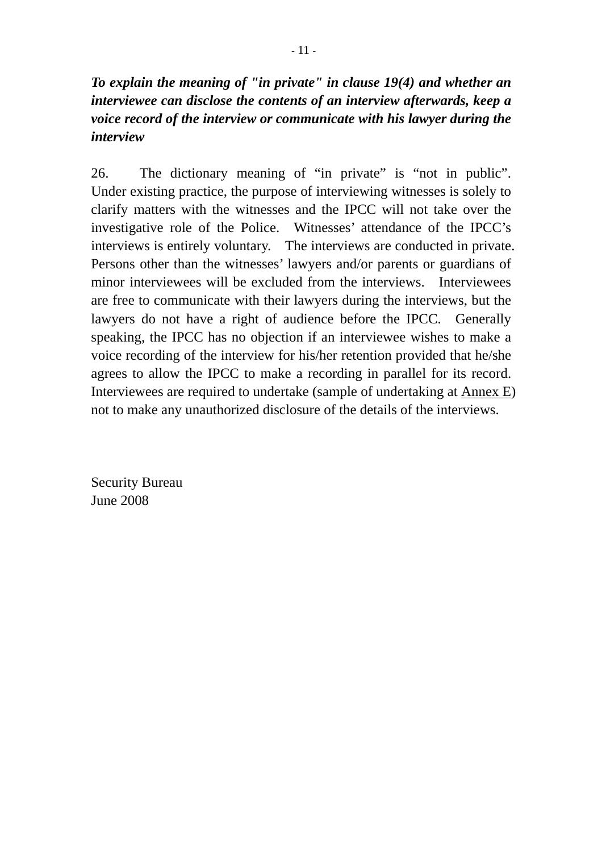# *To explain the meaning of "in private" in clause 19(4) and whether an interviewee can disclose the contents of an interview afterwards, keep a voice record of the interview or communicate with his lawyer during the interview*

26. The dictionary meaning of "in private" is "not in public". Under existing practice, the purpose of interviewing witnesses is solely to clarify matters with the witnesses and the IPCC will not take over the investigative role of the Police. Witnesses' attendance of the IPCC's interviews is entirely voluntary. The interviews are conducted in private. Persons other than the witnesses' lawyers and/or parents or guardians of minor interviewees will be excluded from the interviews. Interviewees are free to communicate with their lawyers during the interviews, but the lawyers do not have a right of audience before the IPCC. Generally speaking, the IPCC has no objection if an interviewee wishes to make a voice recording of the interview for his/her retention provided that he/she agrees to allow the IPCC to make a recording in parallel for its record. Interviewees are required to undertake (sample of undertaking at Annex E) not to make any unauthorized disclosure of the details of the interviews.

Security Bureau June 2008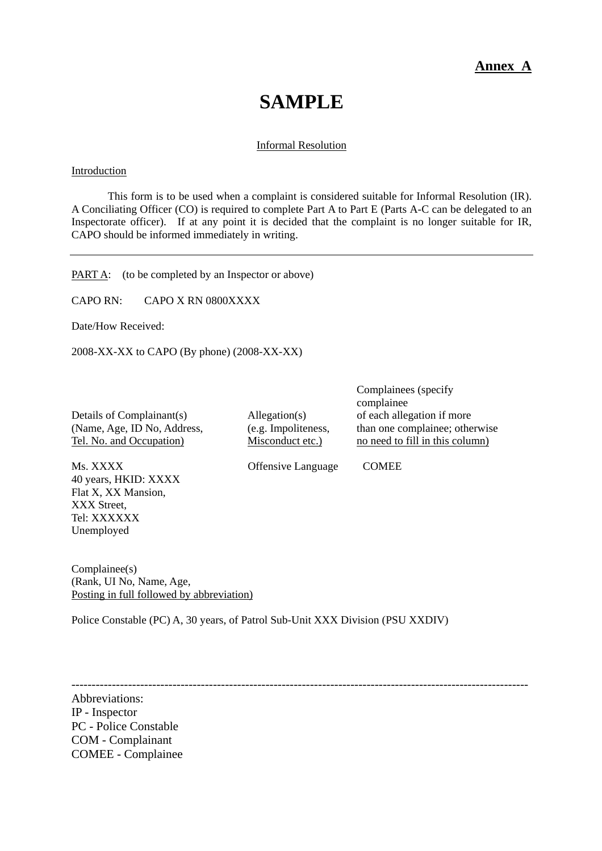### **Annex A**

# **SAMPLE**

#### Informal Resolution

### **Introduction**

 This form is to be used when a complaint is considered suitable for Informal Resolution (IR). A Conciliating Officer (CO) is required to complete Part A to Part E (Parts A-C can be delegated to an Inspectorate officer). If at any point it is decided that the complaint is no longer suitable for IR, CAPO should be informed immediately in writing.

PART A: (to be completed by an Inspector or above)

CAPO RN: CAPO X RN 0800XXXX

Date/How Received:

2008-XX-XX to CAPO (By phone) (2008-XX-XX)

Details of Complainant(s)  $\qquad \qquad \text{Allegation(s)} \qquad \qquad \text{of each allocation if more}$ Tel. No. and Occupation) Misconduct etc.) no need to fill in this column)

40 years, HKID: XXXX Flat X, XX Mansion, XXX Street, Tel: XXXXXX Unemployed

 Complainees (specify complainee (Name, Age, ID No, Address, (e.g. Impoliteness, than one complainee; otherwise

Ms. XXXX Offensive Language COMEE

Complainee(s) (Rank, UI No, Name, Age, Posting in full followed by abbreviation)

Police Constable (PC) A, 30 years, of Patrol Sub-Unit XXX Division (PSU XXDIV)

-----------------------------------------------------------------------------------------------------------------

Abbreviations: IP - Inspector PC - Police Constable COM - Complainant COMEE - Complainee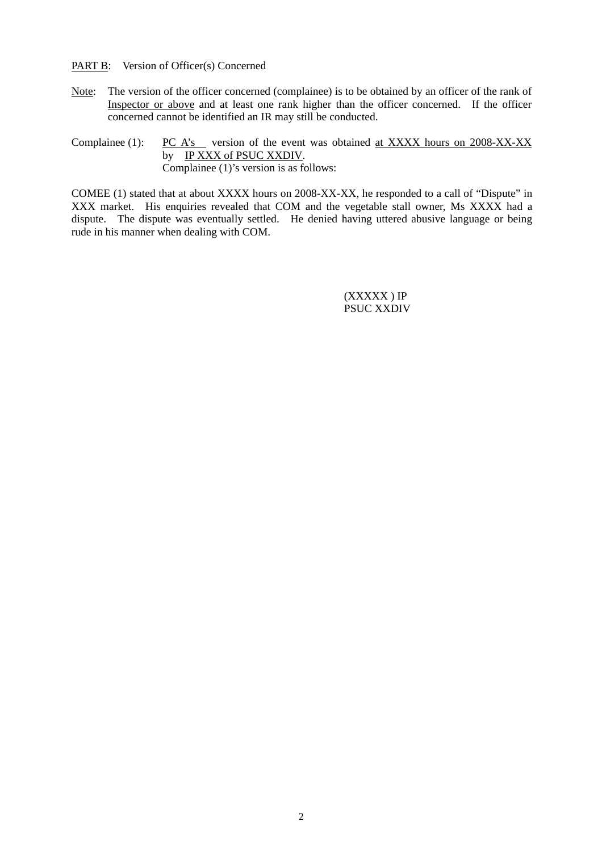PART B: Version of Officer(s) Concerned

Note: The version of the officer concerned (complainee) is to be obtained by an officer of the rank of Inspector or above and at least one rank higher than the officer concerned. If the officer concerned cannot be identified an IR may still be conducted.

Complainee (1):  $\overline{PC A's}$  version of the event was obtained at XXXX hours on 2008-XX-XX by IP XXX of PSUC XXDIV. Complainee (1)'s version is as follows:

COMEE (1) stated that at about XXXX hours on 2008-XX-XX, he responded to a call of "Dispute" in XXX market. His enquiries revealed that COM and the vegetable stall owner. Ms XXXX had a dispute. The dispute was eventually settled. He denied having uttered abusive language or being rude in his manner when dealing with COM.

> (XXXXX ) IP PSUC XXDIV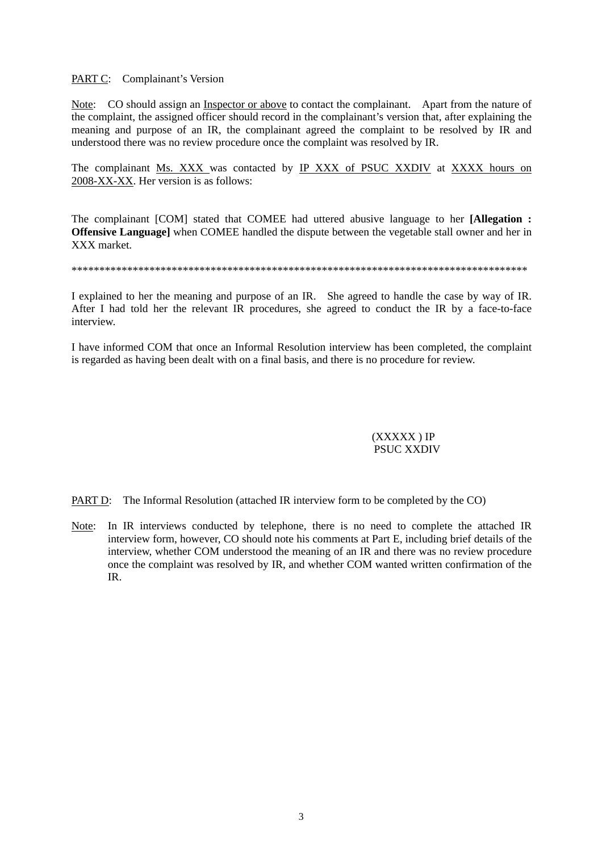### PART C: Complainant's Version

Note: CO should assign an Inspector or above to contact the complainant. Apart from the nature of the complaint, the assigned officer should record in the complainant's version that, after explaining the meaning and purpose of an IR, the complainant agreed the complaint to be resolved by IR and understood there was no review procedure once the complaint was resolved by IR.

The complainant Ms. XXX was contacted by IP XXX of PSUC XXDIV at XXXX hours on 2008-XX-XX. Her version is as follows:

The complainant [COM] stated that COMEE had uttered abusive language to her **[Allegation : Offensive Language]** when COMEE handled the dispute between the vegetable stall owner and her in XXX market.

\*\*\*\*\*\*\*\*\*\*\*\*\*\*\*\*\*\*\*\*\*\*\*\*\*\*\*\*\*\*\*\*\*\*\*\*\*\*\*\*\*\*\*\*\*\*\*\*\*\*\*\*\*\*\*\*\*\*\*\*\*\*\*\*\*\*\*\*\*\*\*\*\*\*\*\*\*\*\*\*\*\*

I explained to her the meaning and purpose of an IR. She agreed to handle the case by way of IR. After I had told her the relevant IR procedures, she agreed to conduct the IR by a face-to-face interview.

I have informed COM that once an Informal Resolution interview has been completed, the complaint is regarded as having been dealt with on a final basis, and there is no procedure for review.

### (XXXXX ) IP PSUC XXDIV

PART D: The Informal Resolution (attached IR interview form to be completed by the CO)

Note: In IR interviews conducted by telephone, there is no need to complete the attached IR interview form, however, CO should note his comments at Part E, including brief details of the interview, whether COM understood the meaning of an IR and there was no review procedure once the complaint was resolved by IR, and whether COM wanted written confirmation of the IR.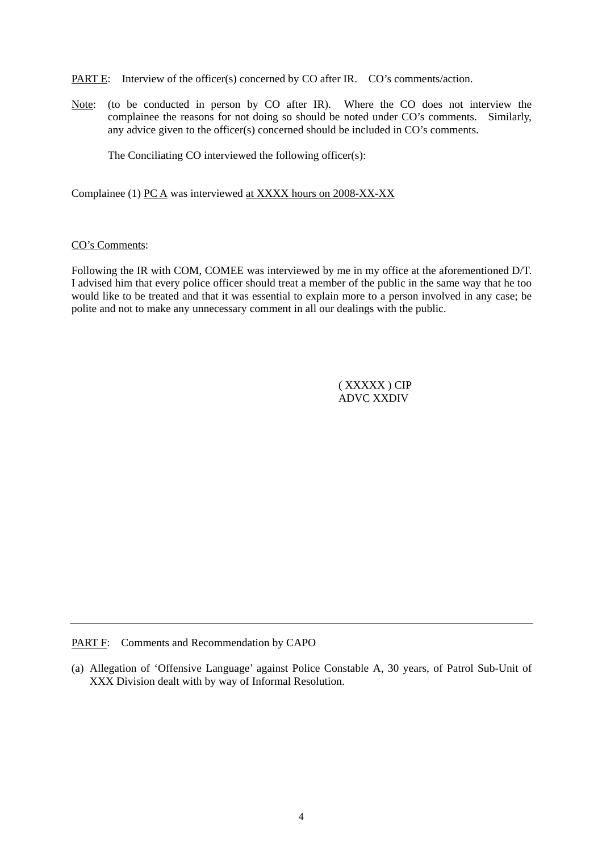PART E: Interview of the officer(s) concerned by CO after IR. CO's comments/action.

Note: (to be conducted in person by CO after IR). Where the CO does not interview the complainee the reasons for not doing so should be noted under CO's comments. Similarly, any advice given to the officer(s) concerned should be included in CO's comments.

The Conciliating CO interviewed the following officer(s):

Complainee (1) PC A was interviewed at XXXX hours on 2008-XX-XX

#### CO's Comments:

Following the IR with COM, COMEE was interviewed by me in my office at the aforementioned D/T. I advised him that every police officer should treat a member of the public in the same way that he too would like to be treated and that it was essential to explain more to a person involved in any case; be polite and not to make any unnecessary comment in all our dealings with the public.

> ( XXXXX ) CIP ADVC XXDIV

PART F: Comments and Recommendation by CAPO

(a) Allegation of 'Offensive Language' against Police Constable A, 30 years, of Patrol Sub-Unit of XXX Division dealt with by way of Informal Resolution.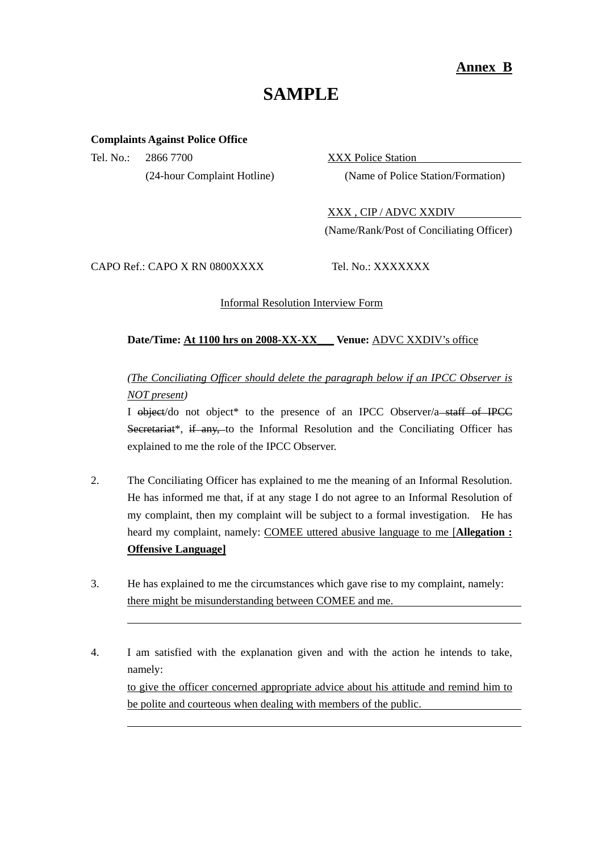### **Annex B**

# **SAMPLE**

### **Complaints Against Police Office**

Tel. No.: 2866 7700 XXX Police Station (24-hour Complaint Hotline) (Name of Police Station/Formation)

 XXX , CIP / ADVC XXDIV (Name/Rank/Post of Conciliating Officer)

CAPO Ref.: CAPO X RN 0800XXXX Tel. No.: XXXXXXX

Informal Resolution Interview Form

### **Date/Time: At 1100 hrs on 2008-XX-XX\_\_\_ Venue:** ADVC XXDIV's office

### *(The Conciliating Officer should delete the paragraph below if an IPCC Observer is NOT present)*

I object/do not object\* to the presence of an IPCC Observer/a-staff of IPCC Secretariat\*, if any, to the Informal Resolution and the Conciliating Officer has explained to me the role of the IPCC Observer.

- 2. The Conciliating Officer has explained to me the meaning of an Informal Resolution. He has informed me that, if at any stage I do not agree to an Informal Resolution of my complaint, then my complaint will be subject to a formal investigation. He has heard my complaint, namely: COMEE uttered abusive language to me [**Allegation : Offensive Language]**
- 3. He has explained to me the circumstances which gave rise to my complaint, namely: there might be misunderstanding between COMEE and me.

4. I am satisfied with the explanation given and with the action he intends to take, namely: to give the officer concerned appropriate advice about his attitude and remind him to be polite and courteous when dealing with members of the public.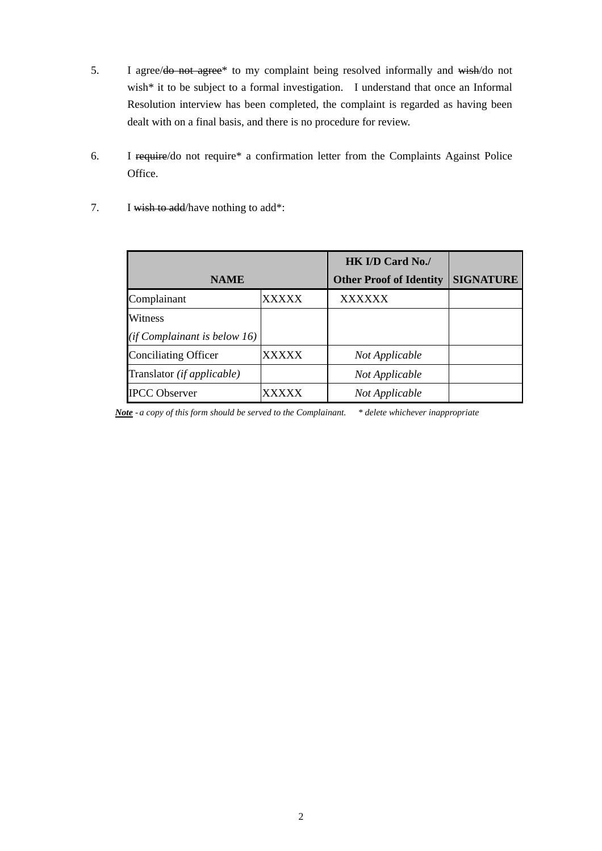- 5. I agree/do not agree\* to my complaint being resolved informally and wish/do not wish\* it to be subject to a formal investigation. I understand that once an Informal Resolution interview has been completed, the complaint is regarded as having been dealt with on a final basis, and there is no procedure for review.
- 6. I require/do not require\* a confirmation letter from the Complaints Against Police Office.
- 7. I wish to add/have nothing to add\*:

|                              |       | <b>HK I/D Card No./</b>        |                  |
|------------------------------|-------|--------------------------------|------------------|
| <b>NAME</b>                  |       | <b>Other Proof of Identity</b> | <b>SIGNATURE</b> |
| Complainant                  | xxxxx | <b>XXXXXX</b>                  |                  |
| Witness                      |       |                                |                  |
| (if Complainant is below 16) |       |                                |                  |
| Conciliating Officer         | XXXXX | Not Applicable                 |                  |
| Translator (if applicable)   |       | Not Applicable                 |                  |
| <b>IPCC Observer</b>         |       | Not Applicable                 |                  |

*Note - a copy of this form should be served to the Complainant. \* delete whichever inappropriate*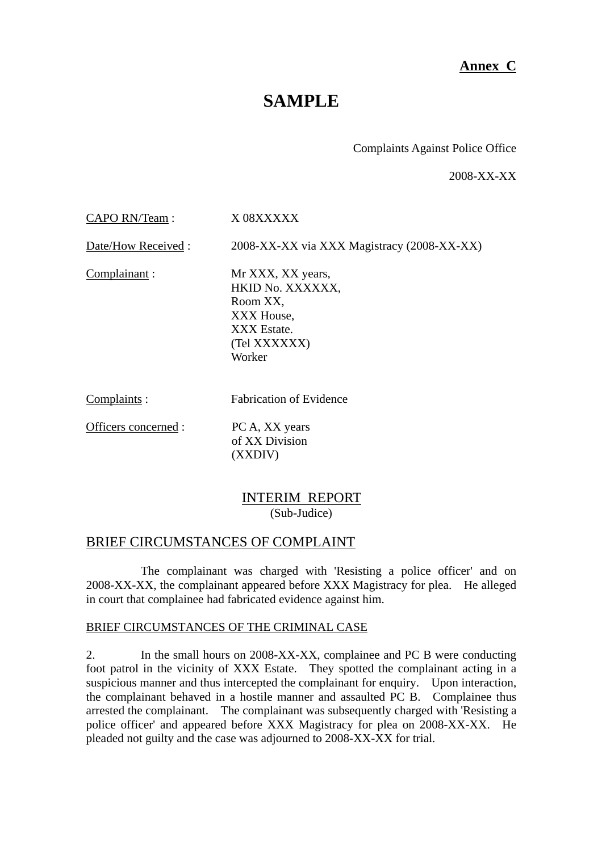## **Annex C**

# **SAMPLE**

Complaints Against Police Office

2008-XX-XX

CAPO RN/Team : X 08XXXXX

Date/How Received : 2008-XX-XX via XXX Magistracy (2008-XX-XX)

Complainant : Mr XXX, XX years, HKID No. XXXXXX, Room XX, XXX House, XXX Estate. (Tel XXXXXX) Worker

**Complaints :** Fabrication of Evidence

Officers concerned : PC A, XX years

of XX Division (XXDIV)

### INTERIM REPORT (Sub-Judice)

### BRIEF CIRCUMSTANCES OF COMPLAINT

 The complainant was charged with 'Resisting a police officer' and on 2008-XX-XX, the complainant appeared before XXX Magistracy for plea. He alleged in court that complainee had fabricated evidence against him.

### BRIEF CIRCUMSTANCES OF THE CRIMINAL CASE

2. In the small hours on 2008-XX-XX, complainee and PC B were conducting foot patrol in the vicinity of XXX Estate. They spotted the complainant acting in a suspicious manner and thus intercepted the complainant for enquiry. Upon interaction, the complainant behaved in a hostile manner and assaulted PC B. Complainee thus arrested the complainant. The complainant was subsequently charged with 'Resisting a police officer' and appeared before XXX Magistracy for plea on 2008-XX-XX. He pleaded not guilty and the case was adjourned to 2008-XX-XX for trial.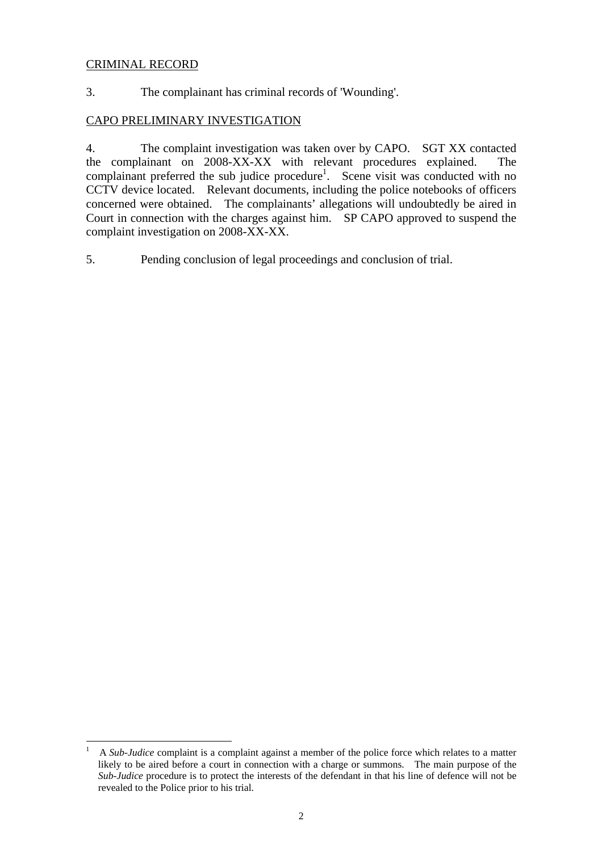### CRIMINAL RECORD

3. The complainant has criminal records of 'Wounding'.

### CAPO PRELIMINARY INVESTIGATION

4. The complaint investigation was taken over by CAPO. SGT XX contacted the complainant on 2008-XX-XX with relevant procedures explained. The complainant preferred the sub judice procedure<sup>1</sup>. Scene visit was conducted with no CCTV device located. Relevant documents, including the police notebooks of officers concerned were obtained. The complainants' allegations will undoubtedly be aired in Court in connection with the charges against him. SP CAPO approved to suspend the complaint investigation on 2008-XX-XX.

5. Pending conclusion of legal proceedings and conclusion of trial.

 $\frac{1}{1}$  A *Sub-Judice* complaint is a complaint against a member of the police force which relates to a matter likely to be aired before a court in connection with a charge or summons. The main purpose of the *Sub-Judice* procedure is to protect the interests of the defendant in that his line of defence will not be revealed to the Police prior to his trial.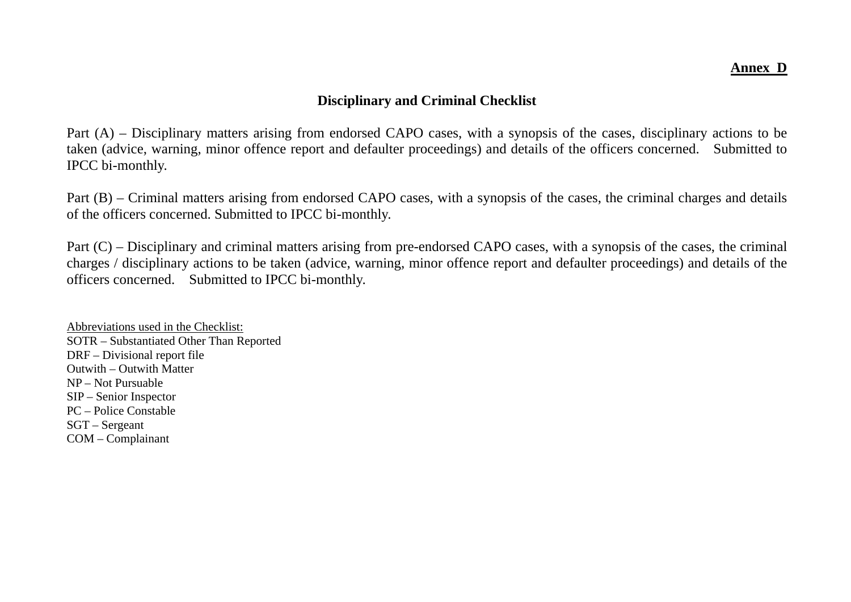## **Disciplinary and Criminal Checklist**

Part (A) – Disciplinary matters arising from endorsed CAPO cases, with a synopsis of the cases, disciplinary actions to be taken (advice, warning, minor offence report and defaulter proceedings) and details of the officers concerned. Submitted to IPCC bi-monthly.

Part (B) – Criminal matters arising from endorsed CAPO cases, with a synopsis of the cases, the criminal charges and details of the officers concerned. Submitted to IPCC bi-monthly.

Part (C) – Disciplinary and criminal matters arising from pre-endorsed CAPO cases, with a synopsis of the cases, the criminal charges / disciplinary actions to be taken (advice, warning, minor offence report and defaulter proceedings) and details of the officers concerned. Submitted to IPCC bi-monthly.

Abbreviations used in the Checklist: SOTR – Substantiated Other Than Reported DRF – Divisional report file Outwith – Outwith Matter NP – Not Pursuable SIP – Senior Inspector PC – Police Constable SGT – Sergeant COM – Complainant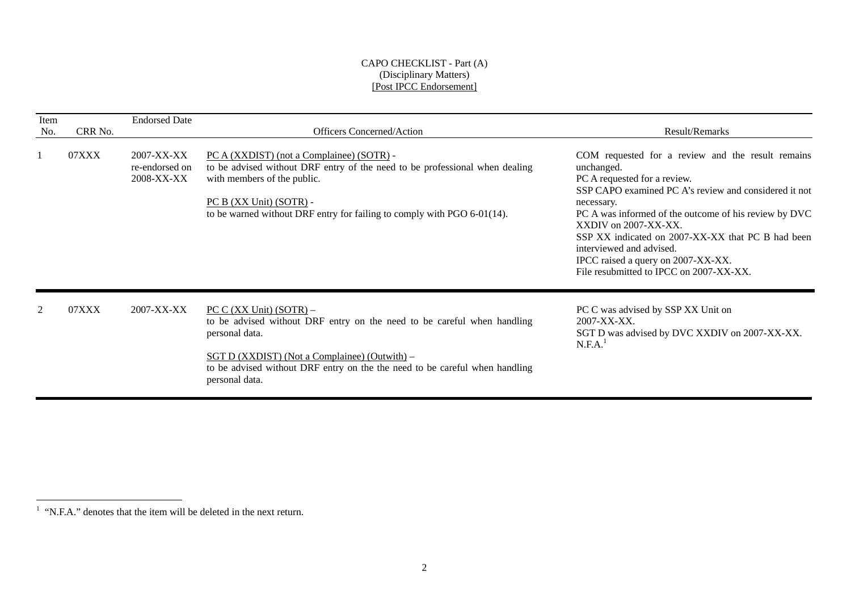#### CAPO CHECKLIST - Part (A) (Disciplinary Matters) [Post IPCC Endorsement]

| Item |         | <b>Endorsed Date</b>                       |                                                                                                                                                                                                                                                                          |                                                                                                                                                                                                                                                                                                                                                                                                                           |
|------|---------|--------------------------------------------|--------------------------------------------------------------------------------------------------------------------------------------------------------------------------------------------------------------------------------------------------------------------------|---------------------------------------------------------------------------------------------------------------------------------------------------------------------------------------------------------------------------------------------------------------------------------------------------------------------------------------------------------------------------------------------------------------------------|
| No.  | CRR No. |                                            | <b>Officers Concerned/Action</b>                                                                                                                                                                                                                                         | Result/Remarks                                                                                                                                                                                                                                                                                                                                                                                                            |
|      | 07XXX   | 2007-XX-XX<br>re-endorsed on<br>2008-XX-XX | PC A (XXDIST) (not a Complainee) (SOTR) -<br>to be advised without DRF entry of the need to be professional when dealing<br>with members of the public.<br>PC B (XX Unit) (SOTR) -<br>to be warned without DRF entry for failing to comply with PGO 6-01(14).            | COM requested for a review and the result remains<br>unchanged.<br>PC A requested for a review.<br>SSP CAPO examined PC A's review and considered it not<br>necessary.<br>PC A was informed of the outcome of his review by DVC<br>XXDIV on 2007-XX-XX.<br>SSP XX indicated on 2007-XX-XX that PC B had been<br>interviewed and advised.<br>IPCC raised a query on 2007-XX-XX.<br>File resubmitted to IPCC on 2007-XX-XX. |
| 2    | 07XXX   | 2007-XX-XX                                 | $PC C (XX Unit) (SOTR) -$<br>to be advised without DRF entry on the need to be careful when handling<br>personal data.<br>SGT D (XXDIST) (Not a Complainee) (Outwith) –<br>to be advised without DRF entry on the the need to be careful when handling<br>personal data. | PC C was advised by SSP XX Unit on<br>2007-XX-XX.<br>SGT D was advised by DVC XXDIV on 2007-XX-XX.<br>N.F.A. <sup>1</sup>                                                                                                                                                                                                                                                                                                 |

<sup>&</sup>lt;sup>1</sup> "N.F.A." denotes that the item will be deleted in the next return.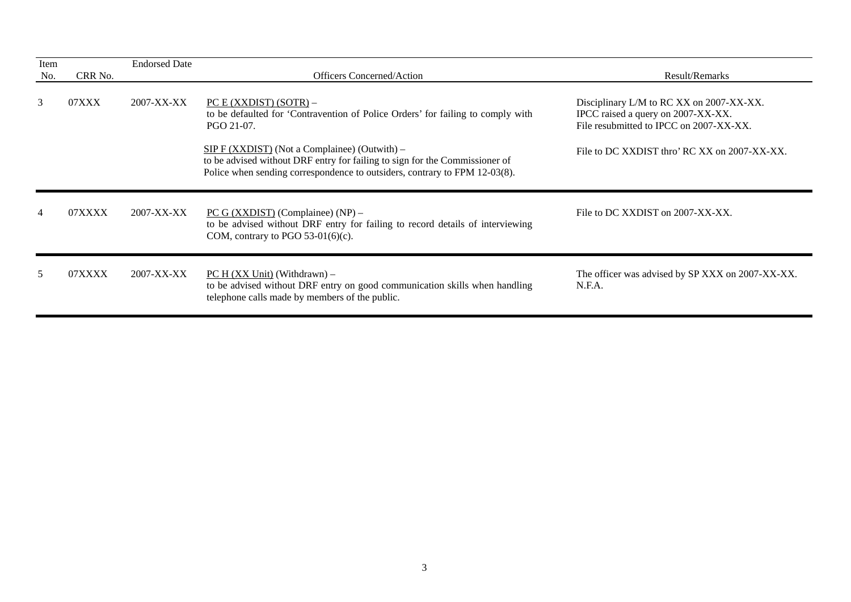| Item<br>No.    | CRR No. | <b>Endorsed Date</b> | <b>Officers Concerned/Action</b>                                                                                                                                                                                                                                                                                                         | Result/Remarks                                                                                                                                                            |
|----------------|---------|----------------------|------------------------------------------------------------------------------------------------------------------------------------------------------------------------------------------------------------------------------------------------------------------------------------------------------------------------------------------|---------------------------------------------------------------------------------------------------------------------------------------------------------------------------|
| 3              | 07XXX   | 2007-XX-XX           | $PC E (XXDIST) (SOTR) -$<br>to be defaulted for 'Contravention of Police Orders' for failing to comply with<br>PGO 21-07.<br>$SIPF (XXDIST)$ (Not a Complainee) (Outwith) –<br>to be advised without DRF entry for failing to sign for the Commissioner of<br>Police when sending correspondence to outsiders, contrary to FPM 12-03(8). | Disciplinary L/M to RC XX on 2007-XX-XX.<br>IPCC raised a query on 2007-XX-XX.<br>File resubmitted to IPCC on 2007-XX-XX.<br>File to DC XXDIST thro' RC XX on 2007-XX-XX. |
| $\overline{4}$ | 07XXXX  | 2007-XX-XX           | $PC G (XXDIST) (Complane) (NP) -$<br>to be advised without DRF entry for failing to record details of interviewing<br>COM, contrary to PGO 53-01(6)(c).                                                                                                                                                                                  | File to DC XXDIST on 2007-XX-XX.                                                                                                                                          |
| 5              | 07XXXX  | 2007-XX-XX           | $PC H (XX Unit)$ (Withdrawn) –<br>to be advised without DRF entry on good communication skills when handling<br>telephone calls made by members of the public.                                                                                                                                                                           | The officer was advised by SP XXX on 2007-XX-XX.<br>N.F.A.                                                                                                                |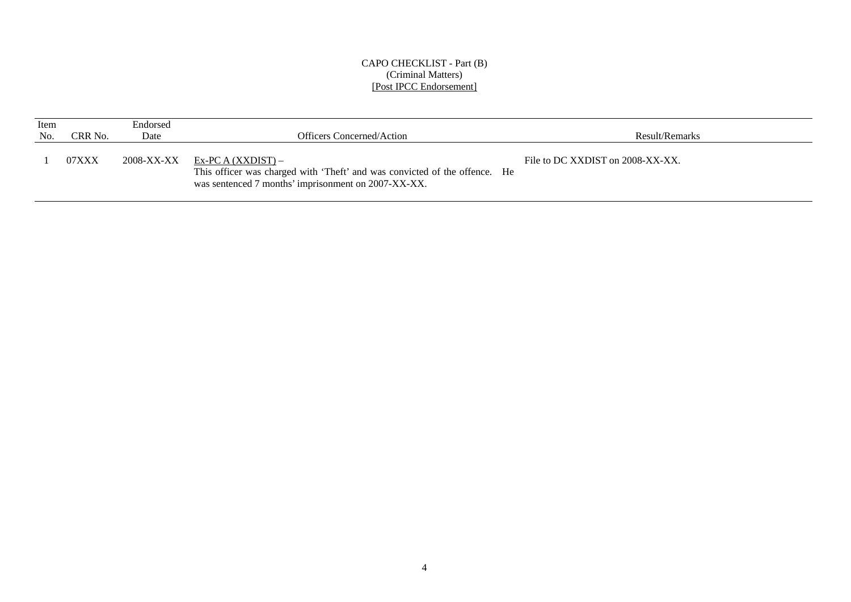### CAPO CHECKLIST - Part (B) (Criminal Matters) [Post IPCC Endorsement]

| Item<br>No. | CRR No. | Endorsed<br>Date | <b>Officers Concerned/Action</b>                                                                                                                        | Result/Remarks                   |
|-------------|---------|------------------|---------------------------------------------------------------------------------------------------------------------------------------------------------|----------------------------------|
|             | 07XXX   | 2008-XX-XX       | Ex-PC A (XXDIST) –<br>This officer was charged with 'Theft' and was convicted of the offence. He<br>was sentenced 7 months' imprisonment on 2007-XX-XX. | File to DC XXDIST on 2008-XX-XX. |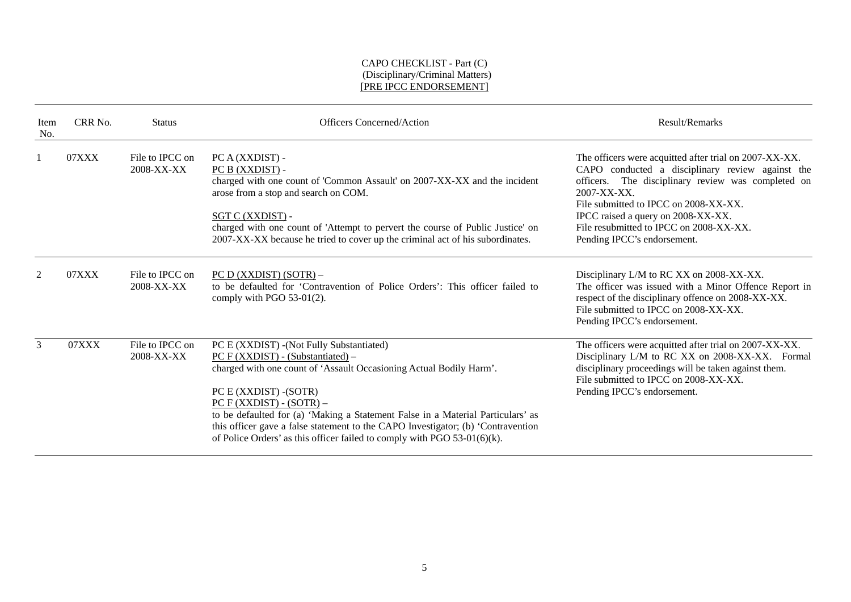#### CAPO CHECKLIST - Part (C) (Disciplinary/Criminal Matters) [PRE IPCC ENDORSEMENT]

| CRR No.<br><b>Status</b><br>Item<br>No. |       |                               | <b>Officers Concerned/Action</b>                                                                                                                                                                                                                                                                                                                                                                                                                                 | Result/Remarks                                                                                                                                                                                                                                                                                                                           |  |
|-----------------------------------------|-------|-------------------------------|------------------------------------------------------------------------------------------------------------------------------------------------------------------------------------------------------------------------------------------------------------------------------------------------------------------------------------------------------------------------------------------------------------------------------------------------------------------|------------------------------------------------------------------------------------------------------------------------------------------------------------------------------------------------------------------------------------------------------------------------------------------------------------------------------------------|--|
|                                         | 07XXX | File to IPCC on<br>2008-XX-XX | PC A (XXDIST) -<br>PC B (XXDIST) -<br>charged with one count of 'Common Assault' on 2007-XX-XX and the incident<br>arose from a stop and search on COM.<br>SGT C (XXDIST) -<br>charged with one count of 'Attempt to pervert the course of Public Justice' on<br>2007-XX-XX because he tried to cover up the criminal act of his subordinates.                                                                                                                   | The officers were acquitted after trial on 2007-XX-XX.<br>CAPO conducted a disciplinary review against the<br>officers. The disciplinary review was completed on<br>2007-XX-XX.<br>File submitted to IPCC on 2008-XX-XX.<br>IPCC raised a query on 2008-XX-XX.<br>File resubmitted to IPCC on 2008-XX-XX.<br>Pending IPCC's endorsement. |  |
| 2                                       | 07XXX | File to IPCC on<br>2008-XX-XX | $PC D (XXDIST) (SOTR) -$<br>to be defaulted for 'Contravention of Police Orders': This officer failed to<br>comply with PGO $53-01(2)$ .                                                                                                                                                                                                                                                                                                                         | Disciplinary L/M to RC XX on 2008-XX-XX.<br>The officer was issued with a Minor Offence Report in<br>respect of the disciplinary offence on 2008-XX-XX.<br>File submitted to IPCC on 2008-XX-XX.<br>Pending IPCC's endorsement.                                                                                                          |  |
| 3                                       | 07XXX | File to IPCC on<br>2008-XX-XX | PC E (XXDIST) - (Not Fully Substantiated)<br>PC F (XXDIST) - (Substantiated) –<br>charged with one count of 'Assault Occasioning Actual Bodily Harm'.<br>PC E (XXDIST) - (SOTR)<br>$PC F (XXDIST) - (SOTR) -$<br>to be defaulted for (a) 'Making a Statement False in a Material Particulars' as<br>this officer gave a false statement to the CAPO Investigator; (b) 'Contravention<br>of Police Orders' as this officer failed to comply with PGO 53-01(6)(k). | The officers were acquitted after trial on 2007-XX-XX.<br>Disciplinary L/M to RC XX on 2008-XX-XX. Formal<br>disciplinary proceedings will be taken against them.<br>File submitted to IPCC on 2008-XX-XX.<br>Pending IPCC's endorsement.                                                                                                |  |